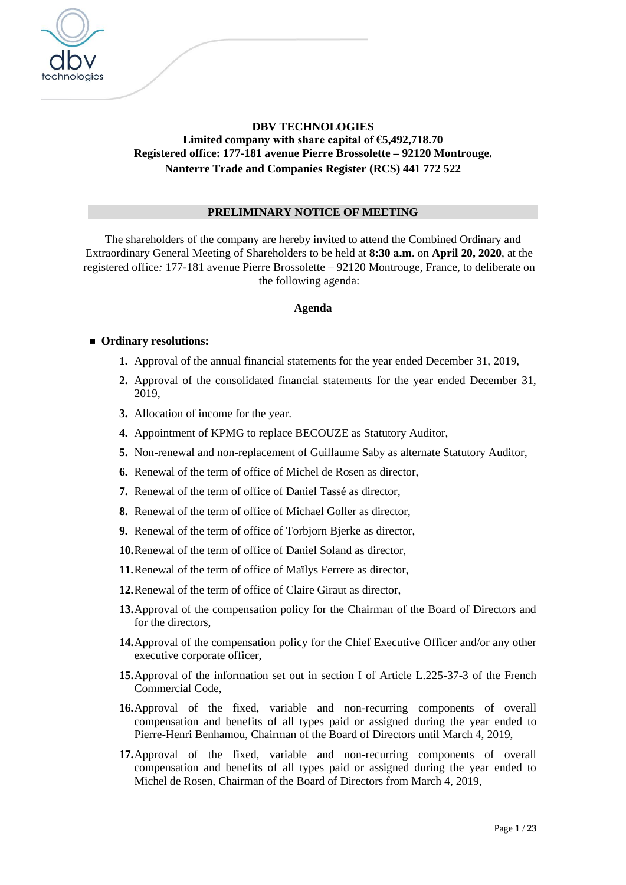

# **DBV TECHNOLOGIES Limited company with share capital of €5,492,718.70 Registered office: 177-181 avenue Pierre Brossolette – 92120 Montrouge. Nanterre Trade and Companies Register (RCS) 441 772 522**

### **PRELIMINARY NOTICE OF MEETING**

The shareholders of the company are hereby invited to attend the Combined Ordinary and Extraordinary General Meeting of Shareholders to be held at **8:30 a.m**. on **April 20, 2020**, at the registered office*:* 177-181 avenue Pierre Brossolette – 92120 Montrouge, France, to deliberate on the following agenda:

### **Agenda**

### ■ Ordinary resolutions:

- **1.** Approval of the annual financial statements for the year ended December 31, 2019,
- **2.** Approval of the consolidated financial statements for the year ended December 31, 2019,
- **3.** Allocation of income for the year.
- **4.** Appointment of KPMG to replace BECOUZE as Statutory Auditor,
- **5.** Non-renewal and non-replacement of Guillaume Saby as alternate Statutory Auditor,
- **6.** Renewal of the term of office of Michel de Rosen as director,
- **7.** Renewal of the term of office of Daniel Tassé as director,
- **8.** Renewal of the term of office of Michael Goller as director,
- **9.** Renewal of the term of office of Torbjorn Bjerke as director,
- **10.**Renewal of the term of office of Daniel Soland as director,
- **11.**Renewal of the term of office of Maïlys Ferrere as director,
- **12.**Renewal of the term of office of Claire Giraut as director,
- **13.**Approval of the compensation policy for the Chairman of the Board of Directors and for the directors,
- **14.**Approval of the compensation policy for the Chief Executive Officer and/or any other executive corporate officer,
- **15.**Approval of the information set out in section I of Article L.225-37-3 of the French Commercial Code,
- **16.**Approval of the fixed, variable and non-recurring components of overall compensation and benefits of all types paid or assigned during the year ended to Pierre-Henri Benhamou, Chairman of the Board of Directors until March 4, 2019,
- **17.**Approval of the fixed, variable and non-recurring components of overall compensation and benefits of all types paid or assigned during the year ended to Michel de Rosen, Chairman of the Board of Directors from March 4, 2019,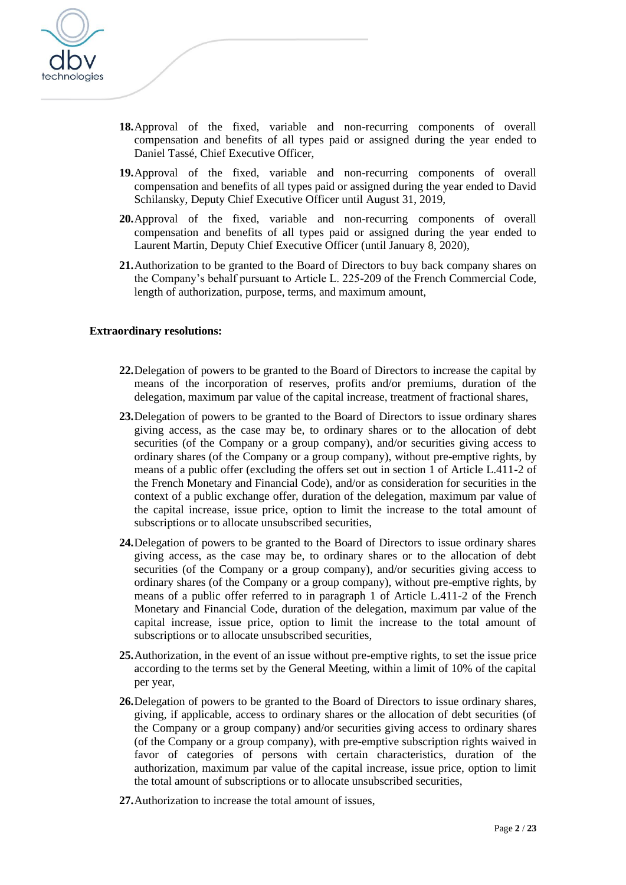

- **18.**Approval of the fixed, variable and non-recurring components of overall compensation and benefits of all types paid or assigned during the year ended to Daniel Tassé, Chief Executive Officer,
- **19.**Approval of the fixed, variable and non-recurring components of overall compensation and benefits of all types paid or assigned during the year ended to David Schilansky, Deputy Chief Executive Officer until August 31, 2019,
- **20.**Approval of the fixed, variable and non-recurring components of overall compensation and benefits of all types paid or assigned during the year ended to Laurent Martin, Deputy Chief Executive Officer (until January 8, 2020),
- **21.**Authorization to be granted to the Board of Directors to buy back company shares on the Company's behalf pursuant to Article L. 225-209 of the French Commercial Code, length of authorization, purpose, terms, and maximum amount,

#### **Extraordinary resolutions:**

- **22.**Delegation of powers to be granted to the Board of Directors to increase the capital by means of the incorporation of reserves, profits and/or premiums, duration of the delegation, maximum par value of the capital increase, treatment of fractional shares,
- **23.**Delegation of powers to be granted to the Board of Directors to issue ordinary shares giving access, as the case may be, to ordinary shares or to the allocation of debt securities (of the Company or a group company), and/or securities giving access to ordinary shares (of the Company or a group company), without pre-emptive rights, by means of a public offer (excluding the offers set out in section 1 of Article L.411-2 of the French Monetary and Financial Code), and/or as consideration for securities in the context of a public exchange offer, duration of the delegation, maximum par value of the capital increase, issue price, option to limit the increase to the total amount of subscriptions or to allocate unsubscribed securities,
- **24.**Delegation of powers to be granted to the Board of Directors to issue ordinary shares giving access, as the case may be, to ordinary shares or to the allocation of debt securities (of the Company or a group company), and/or securities giving access to ordinary shares (of the Company or a group company), without pre-emptive rights, by means of a public offer referred to in paragraph 1 of Article L.411-2 of the French Monetary and Financial Code, duration of the delegation, maximum par value of the capital increase, issue price, option to limit the increase to the total amount of subscriptions or to allocate unsubscribed securities,
- **25.**Authorization, in the event of an issue without pre-emptive rights, to set the issue price according to the terms set by the General Meeting, within a limit of 10% of the capital per year,
- **26.**Delegation of powers to be granted to the Board of Directors to issue ordinary shares, giving, if applicable, access to ordinary shares or the allocation of debt securities (of the Company or a group company) and/or securities giving access to ordinary shares (of the Company or a group company), with pre-emptive subscription rights waived in favor of categories of persons with certain characteristics, duration of the authorization, maximum par value of the capital increase, issue price, option to limit the total amount of subscriptions or to allocate unsubscribed securities,
- **27.**Authorization to increase the total amount of issues,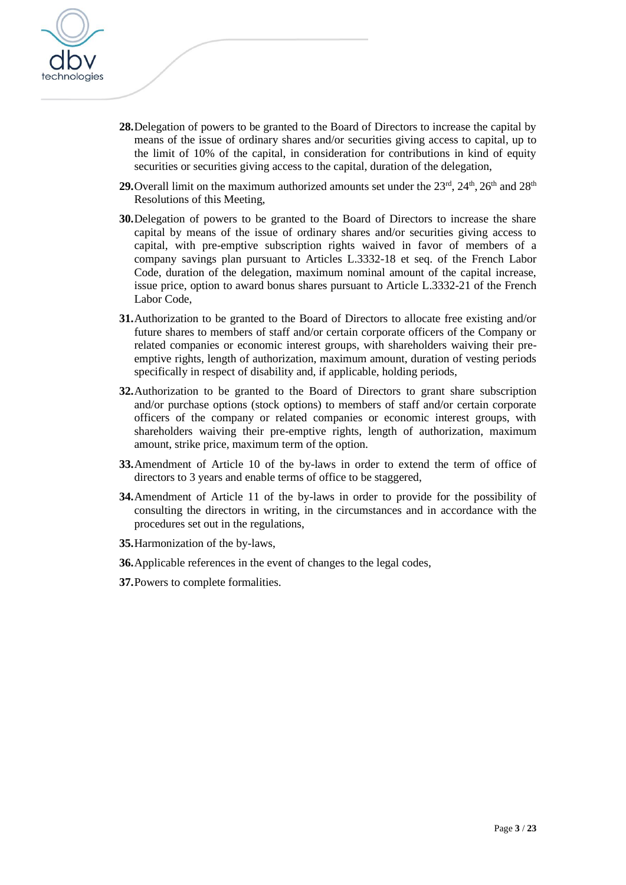

- **28.**Delegation of powers to be granted to the Board of Directors to increase the capital by means of the issue of ordinary shares and/or securities giving access to capital, up to the limit of 10% of the capital, in consideration for contributions in kind of equity securities or securities giving access to the capital, duration of the delegation,
- **29.** Overall limit on the maximum authorized amounts set under the  $23<sup>rd</sup>$ ,  $24<sup>th</sup>$ ,  $26<sup>th</sup>$  and  $28<sup>th</sup>$ Resolutions of this Meeting,
- **30.**Delegation of powers to be granted to the Board of Directors to increase the share capital by means of the issue of ordinary shares and/or securities giving access to capital, with pre-emptive subscription rights waived in favor of members of a company savings plan pursuant to Articles L.3332-18 et seq. of the French Labor Code, duration of the delegation, maximum nominal amount of the capital increase, issue price, option to award bonus shares pursuant to Article L.3332-21 of the French Labor Code,
- **31.**Authorization to be granted to the Board of Directors to allocate free existing and/or future shares to members of staff and/or certain corporate officers of the Company or related companies or economic interest groups, with shareholders waiving their preemptive rights, length of authorization, maximum amount, duration of vesting periods specifically in respect of disability and, if applicable, holding periods,
- **32.**Authorization to be granted to the Board of Directors to grant share subscription and/or purchase options (stock options) to members of staff and/or certain corporate officers of the company or related companies or economic interest groups, with shareholders waiving their pre-emptive rights, length of authorization, maximum amount, strike price, maximum term of the option.
- **33.**Amendment of Article 10 of the by-laws in order to extend the term of office of directors to 3 years and enable terms of office to be staggered,
- **34.**Amendment of Article 11 of the by-laws in order to provide for the possibility of consulting the directors in writing, in the circumstances and in accordance with the procedures set out in the regulations,
- **35.**Harmonization of the by-laws,
- **36.**Applicable references in the event of changes to the legal codes,
- **37.**Powers to complete formalities.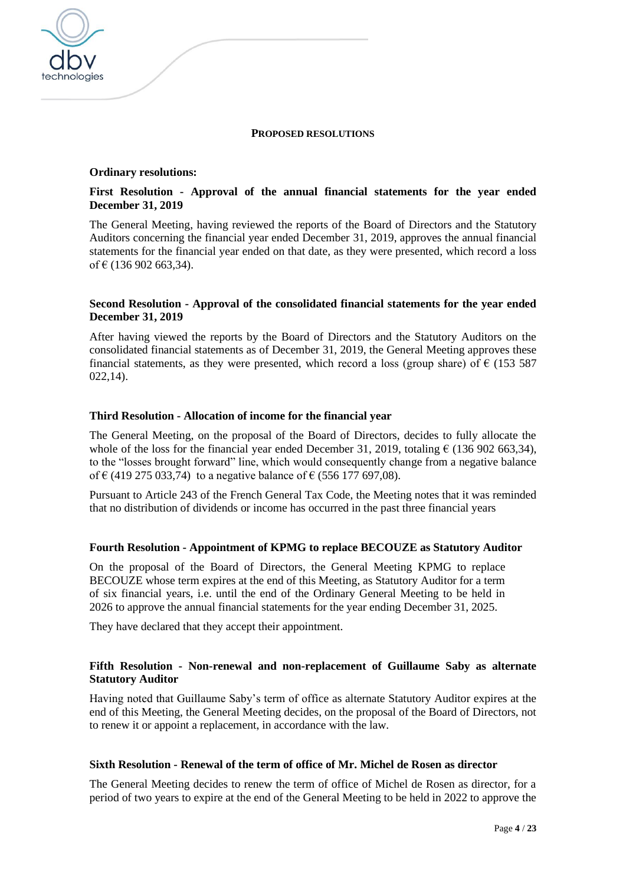

## **Ordinary resolutions:**

technologies

## **First Resolution - Approval of the annual financial statements for the year ended December 31, 2019**

The General Meeting, having reviewed the reports of the Board of Directors and the Statutory Auditors concerning the financial year ended December 31, 2019, approves the annual financial statements for the financial year ended on that date, as they were presented, which record a loss of  $\in$  (136 902 663,34).

### **Second Resolution - Approval of the consolidated financial statements for the year ended December 31, 2019**

After having viewed the reports by the Board of Directors and the Statutory Auditors on the consolidated financial statements as of December 31, 2019, the General Meeting approves these financial statements, as they were presented, which record a loss (group share) of  $\epsilon$  (153 587) 022,14).

## **Third Resolution - Allocation of income for the financial year**

The General Meeting, on the proposal of the Board of Directors, decides to fully allocate the whole of the loss for the financial year ended December 31, 2019, totaling  $\epsilon$  (136 902 663.34), to the "losses brought forward" line, which would consequently change from a negative balance of € (419 275 033,74) to a negative balance of € (556 177 697,08).

Pursuant to Article 243 of the French General Tax Code, the Meeting notes that it was reminded that no distribution of dividends or income has occurred in the past three financial years

### **Fourth Resolution - Appointment of KPMG to replace BECOUZE as Statutory Auditor**

On the proposal of the Board of Directors, the General Meeting KPMG to replace BECOUZE whose term expires at the end of this Meeting, as Statutory Auditor for a term of six financial years, i.e. until the end of the Ordinary General Meeting to be held in 2026 to approve the annual financial statements for the year ending December 31, 2025.

They have declared that they accept their appointment.

### **Fifth Resolution - Non-renewal and non-replacement of Guillaume Saby as alternate Statutory Auditor**

Having noted that Guillaume Saby's term of office as alternate Statutory Auditor expires at the end of this Meeting, the General Meeting decides, on the proposal of the Board of Directors, not to renew it or appoint a replacement, in accordance with the law.

### **Sixth Resolution - Renewal of the term of office of Mr. Michel de Rosen as director**

The General Meeting decides to renew the term of office of Michel de Rosen as director, for a period of two years to expire at the end of the General Meeting to be held in 2022 to approve the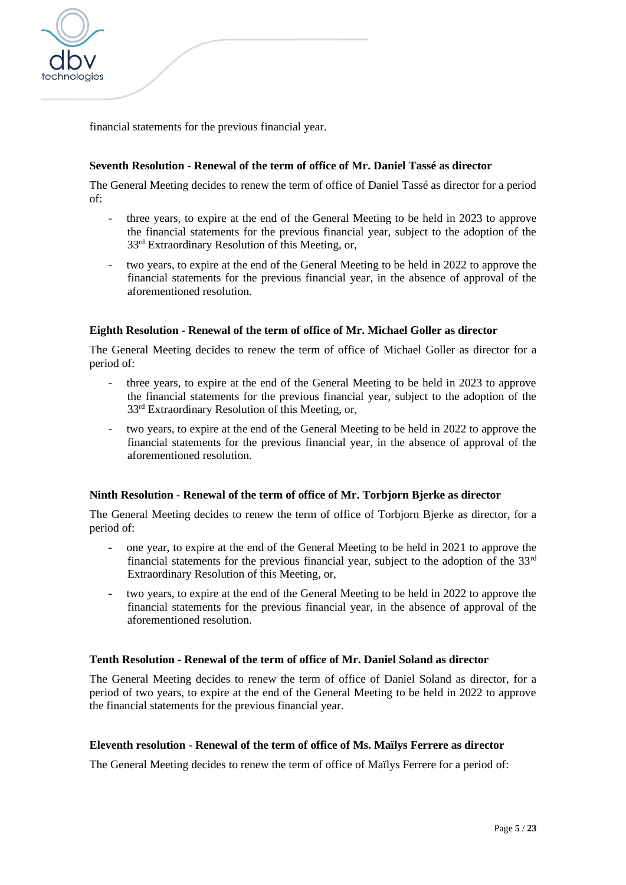

financial statements for the previous financial year.

### **Seventh Resolution - Renewal of the term of office of Mr. Daniel Tassé as director**

The General Meeting decides to renew the term of office of Daniel Tassé as director for a period of:

- three years, to expire at the end of the General Meeting to be held in 2023 to approve the financial statements for the previous financial year, subject to the adoption of the 33rd Extraordinary Resolution of this Meeting, or,
- two years, to expire at the end of the General Meeting to be held in 2022 to approve the financial statements for the previous financial year, in the absence of approval of the aforementioned resolution.

#### **Eighth Resolution - Renewal of the term of office of Mr. Michael Goller as director**

The General Meeting decides to renew the term of office of Michael Goller as director for a period of:

- three years, to expire at the end of the General Meeting to be held in 2023 to approve the financial statements for the previous financial year, subject to the adoption of the 33rd Extraordinary Resolution of this Meeting, or,
- two years, to expire at the end of the General Meeting to be held in 2022 to approve the financial statements for the previous financial year, in the absence of approval of the aforementioned resolution.

### **Ninth Resolution - Renewal of the term of office of Mr. Torbjorn Bjerke as director**

The General Meeting decides to renew the term of office of Torbjorn Bjerke as director, for a period of:

- one year, to expire at the end of the General Meeting to be held in 2021 to approve the financial statements for the previous financial year, subject to the adoption of the  $33<sup>rd</sup>$ Extraordinary Resolution of this Meeting, or,
- two years, to expire at the end of the General Meeting to be held in 2022 to approve the financial statements for the previous financial year, in the absence of approval of the aforementioned resolution.

### **Tenth Resolution - Renewal of the term of office of Mr. Daniel Soland as director**

The General Meeting decides to renew the term of office of Daniel Soland as director, for a period of two years, to expire at the end of the General Meeting to be held in 2022 to approve the financial statements for the previous financial year.

#### **Eleventh resolution - Renewal of the term of office of Ms. Maïlys Ferrere as director**

The General Meeting decides to renew the term of office of Maïlys Ferrere for a period of: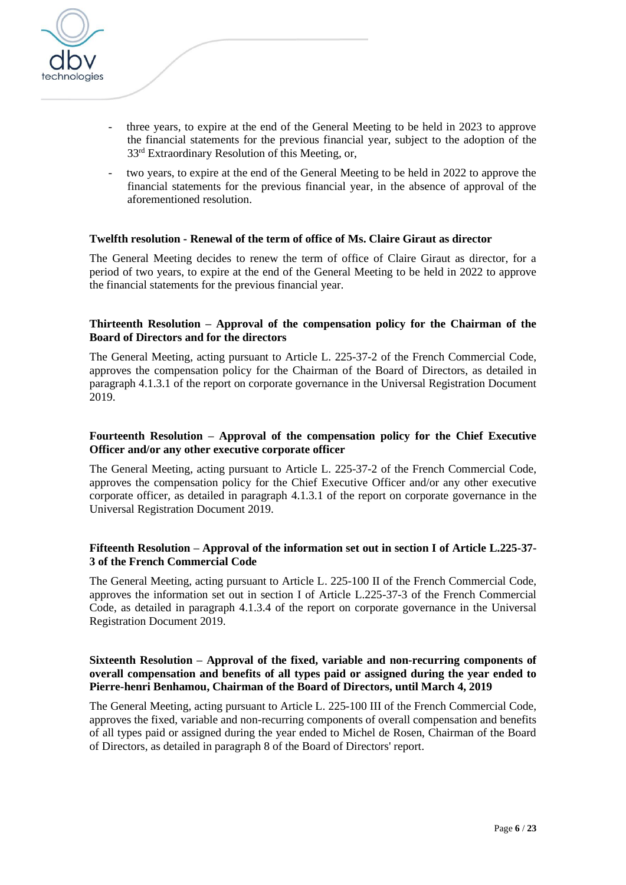

- three years, to expire at the end of the General Meeting to be held in 2023 to approve the financial statements for the previous financial year, subject to the adoption of the 33rd Extraordinary Resolution of this Meeting, or,
- two years, to expire at the end of the General Meeting to be held in 2022 to approve the financial statements for the previous financial year, in the absence of approval of the aforementioned resolution.

#### **Twelfth resolution - Renewal of the term of office of Ms. Claire Giraut as director**

The General Meeting decides to renew the term of office of Claire Giraut as director, for a period of two years, to expire at the end of the General Meeting to be held in 2022 to approve the financial statements for the previous financial year.

### **Thirteenth Resolution – Approval of the compensation policy for the Chairman of the Board of Directors and for the directors**

The General Meeting, acting pursuant to Article L. 225-37-2 of the French Commercial Code, approves the compensation policy for the Chairman of the Board of Directors, as detailed in paragraph 4.1.3.1 of the report on corporate governance in the Universal Registration Document 2019.

#### **Fourteenth Resolution – Approval of the compensation policy for the Chief Executive Officer and/or any other executive corporate officer**

The General Meeting, acting pursuant to Article L. 225-37-2 of the French Commercial Code, approves the compensation policy for the Chief Executive Officer and/or any other executive corporate officer, as detailed in paragraph 4.1.3.1 of the report on corporate governance in the Universal Registration Document 2019.

### **Fifteenth Resolution – Approval of the information set out in section I of Article L.225-37- 3 of the French Commercial Code**

The General Meeting, acting pursuant to Article L. 225-100 II of the French Commercial Code, approves the information set out in section I of Article L.225-37-3 of the French Commercial Code, as detailed in paragraph 4.1.3.4 of the report on corporate governance in the Universal Registration Document 2019.

### **Sixteenth Resolution – Approval of the fixed, variable and non-recurring components of overall compensation and benefits of all types paid or assigned during the year ended to Pierre-henri Benhamou, Chairman of the Board of Directors, until March 4, 2019**

The General Meeting, acting pursuant to Article L. 225-100 III of the French Commercial Code, approves the fixed, variable and non-recurring components of overall compensation and benefits of all types paid or assigned during the year ended to Michel de Rosen, Chairman of the Board of Directors, as detailed in paragraph 8 of the Board of Directors' report.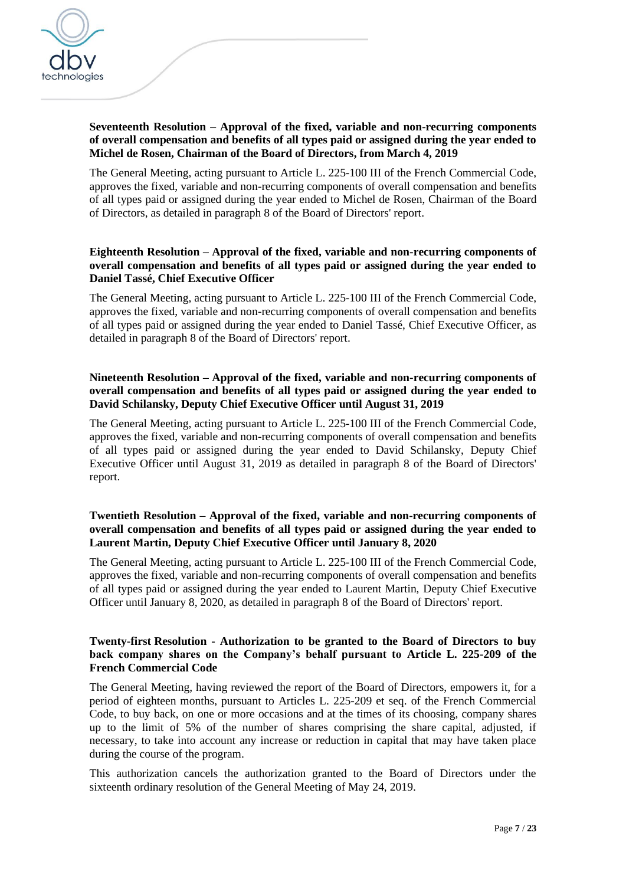

### **Seventeenth Resolution – Approval of the fixed, variable and non-recurring components of overall compensation and benefits of all types paid or assigned during the year ended to Michel de Rosen, Chairman of the Board of Directors, from March 4, 2019**

The General Meeting, acting pursuant to Article L. 225-100 III of the French Commercial Code, approves the fixed, variable and non-recurring components of overall compensation and benefits of all types paid or assigned during the year ended to Michel de Rosen, Chairman of the Board of Directors, as detailed in paragraph 8 of the Board of Directors' report.

## **Eighteenth Resolution – Approval of the fixed, variable and non-recurring components of overall compensation and benefits of all types paid or assigned during the year ended to Daniel Tassé, Chief Executive Officer**

The General Meeting, acting pursuant to Article L. 225-100 III of the French Commercial Code, approves the fixed, variable and non-recurring components of overall compensation and benefits of all types paid or assigned during the year ended to Daniel Tassé, Chief Executive Officer, as detailed in paragraph 8 of the Board of Directors' report.

## **Nineteenth Resolution – Approval of the fixed, variable and non-recurring components of overall compensation and benefits of all types paid or assigned during the year ended to David Schilansky, Deputy Chief Executive Officer until August 31, 2019**

The General Meeting, acting pursuant to Article L. 225-100 III of the French Commercial Code, approves the fixed, variable and non-recurring components of overall compensation and benefits of all types paid or assigned during the year ended to David Schilansky, Deputy Chief Executive Officer until August 31, 2019 as detailed in paragraph 8 of the Board of Directors' report.

### **Twentieth Resolution – Approval of the fixed, variable and non-recurring components of overall compensation and benefits of all types paid or assigned during the year ended to Laurent Martin, Deputy Chief Executive Officer until January 8, 2020**

The General Meeting, acting pursuant to Article L. 225-100 III of the French Commercial Code, approves the fixed, variable and non-recurring components of overall compensation and benefits of all types paid or assigned during the year ended to Laurent Martin, Deputy Chief Executive Officer until January 8, 2020, as detailed in paragraph 8 of the Board of Directors' report.

### **Twenty-first Resolution - Authorization to be granted to the Board of Directors to buy back company shares on the Company's behalf pursuant to Article L. 225-209 of the French Commercial Code**

The General Meeting, having reviewed the report of the Board of Directors, empowers it, for a period of eighteen months, pursuant to Articles L. 225-209 et seq. of the French Commercial Code, to buy back, on one or more occasions and at the times of its choosing, company shares up to the limit of 5% of the number of shares comprising the share capital, adjusted, if necessary, to take into account any increase or reduction in capital that may have taken place during the course of the program.

This authorization cancels the authorization granted to the Board of Directors under the sixteenth ordinary resolution of the General Meeting of May 24, 2019.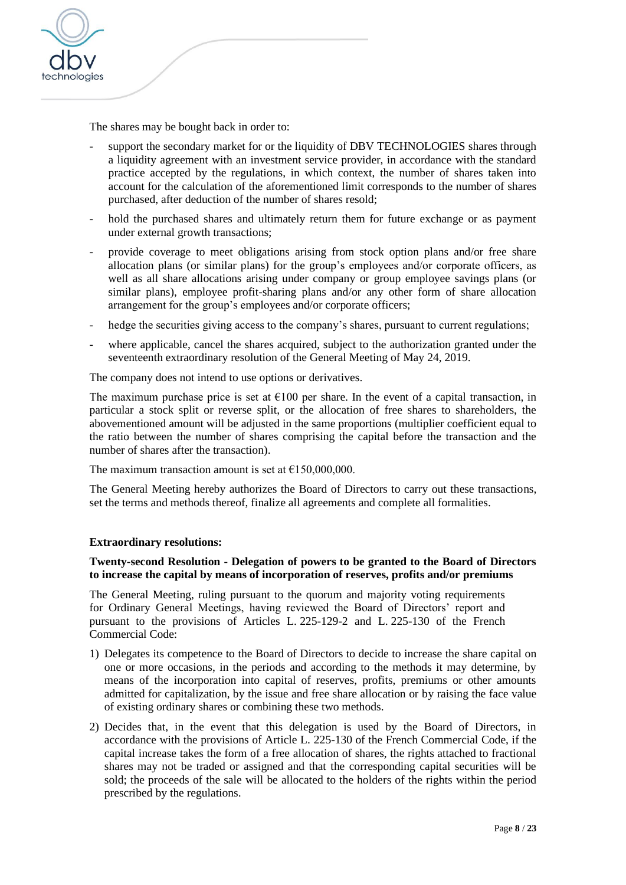

The shares may be bought back in order to:

- support the secondary market for or the liquidity of DBV TECHNOLOGIES shares through a liquidity agreement with an investment service provider, in accordance with the standard practice accepted by the regulations, in which context, the number of shares taken into account for the calculation of the aforementioned limit corresponds to the number of shares purchased, after deduction of the number of shares resold;
- hold the purchased shares and ultimately return them for future exchange or as payment under external growth transactions;
- provide coverage to meet obligations arising from stock option plans and/or free share allocation plans (or similar plans) for the group's employees and/or corporate officers, as well as all share allocations arising under company or group employee savings plans (or similar plans), employee profit-sharing plans and/or any other form of share allocation arrangement for the group's employees and/or corporate officers;
- hedge the securities giving access to the company's shares, pursuant to current regulations;
- where applicable, cancel the shares acquired, subject to the authorization granted under the seventeenth extraordinary resolution of the General Meeting of May 24, 2019.

The company does not intend to use options or derivatives.

The maximum purchase price is set at  $\epsilon$ 100 per share. In the event of a capital transaction, in particular a stock split or reverse split, or the allocation of free shares to shareholders, the abovementioned amount will be adjusted in the same proportions (multiplier coefficient equal to the ratio between the number of shares comprising the capital before the transaction and the number of shares after the transaction).

The maximum transaction amount is set at  $£150,000,000$ .

The General Meeting hereby authorizes the Board of Directors to carry out these transactions, set the terms and methods thereof, finalize all agreements and complete all formalities.

### **Extraordinary resolutions:**

### **Twenty-second Resolution - Delegation of powers to be granted to the Board of Directors to increase the capital by means of incorporation of reserves, profits and/or premiums**

The General Meeting, ruling pursuant to the quorum and majority voting requirements for Ordinary General Meetings, having reviewed the Board of Directors' report and pursuant to the provisions of Articles L. 225-129-2 and L. 225-130 of the French Commercial Code:

- 1) Delegates its competence to the Board of Directors to decide to increase the share capital on one or more occasions, in the periods and according to the methods it may determine, by means of the incorporation into capital of reserves, profits, premiums or other amounts admitted for capitalization, by the issue and free share allocation or by raising the face value of existing ordinary shares or combining these two methods.
- 2) Decides that, in the event that this delegation is used by the Board of Directors, in accordance with the provisions of Article L. 225-130 of the French Commercial Code, if the capital increase takes the form of a free allocation of shares, the rights attached to fractional shares may not be traded or assigned and that the corresponding capital securities will be sold; the proceeds of the sale will be allocated to the holders of the rights within the period prescribed by the regulations.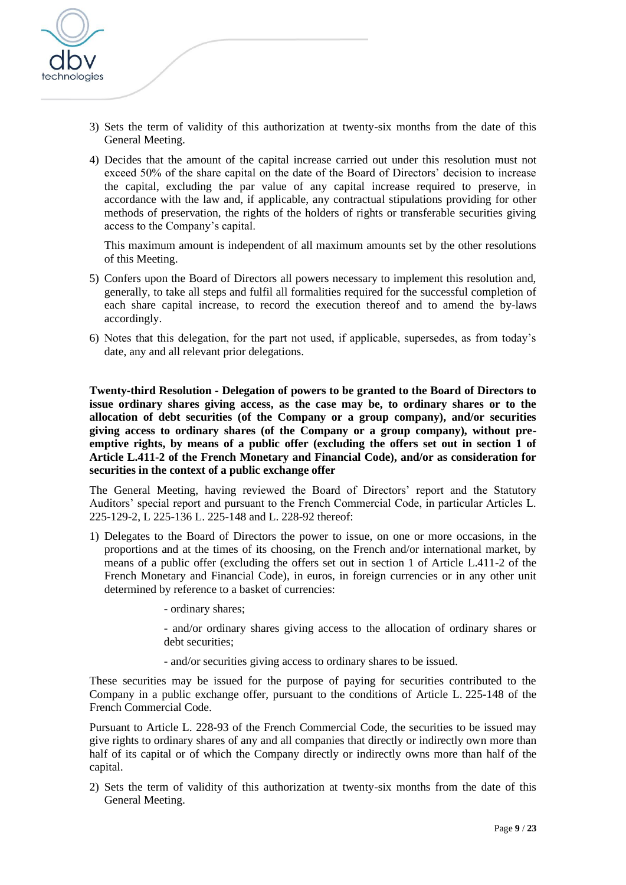

- 3) Sets the term of validity of this authorization at twenty-six months from the date of this General Meeting.
- 4) Decides that the amount of the capital increase carried out under this resolution must not exceed 50% of the share capital on the date of the Board of Directors' decision to increase the capital, excluding the par value of any capital increase required to preserve, in accordance with the law and, if applicable, any contractual stipulations providing for other methods of preservation, the rights of the holders of rights or transferable securities giving access to the Company's capital.

This maximum amount is independent of all maximum amounts set by the other resolutions of this Meeting.

- 5) Confers upon the Board of Directors all powers necessary to implement this resolution and, generally, to take all steps and fulfil all formalities required for the successful completion of each share capital increase, to record the execution thereof and to amend the by-laws accordingly.
- 6) Notes that this delegation, for the part not used, if applicable, supersedes, as from today's date, any and all relevant prior delegations.

**Twenty-third Resolution - Delegation of powers to be granted to the Board of Directors to issue ordinary shares giving access, as the case may be, to ordinary shares or to the allocation of debt securities (of the Company or a group company), and/or securities giving access to ordinary shares (of the Company or a group company), without preemptive rights, by means of a public offer (excluding the offers set out in section 1 of Article L.411-2 of the French Monetary and Financial Code), and/or as consideration for securities in the context of a public exchange offer**

The General Meeting, having reviewed the Board of Directors' report and the Statutory Auditors' special report and pursuant to the French Commercial Code, in particular Articles L. 225-129-2, L 225-136 L. 225-148 and L. 228-92 thereof:

- 1) Delegates to the Board of Directors the power to issue, on one or more occasions, in the proportions and at the times of its choosing, on the French and/or international market, by means of a public offer (excluding the offers set out in section 1 of Article L.411-2 of the French Monetary and Financial Code), in euros, in foreign currencies or in any other unit determined by reference to a basket of currencies:
	- ordinary shares;

- and/or ordinary shares giving access to the allocation of ordinary shares or debt securities:

- and/or securities giving access to ordinary shares to be issued.

These securities may be issued for the purpose of paying for securities contributed to the Company in a public exchange offer, pursuant to the conditions of Article L. 225-148 of the French Commercial Code.

Pursuant to Article L. 228-93 of the French Commercial Code, the securities to be issued may give rights to ordinary shares of any and all companies that directly or indirectly own more than half of its capital or of which the Company directly or indirectly owns more than half of the capital.

2) Sets the term of validity of this authorization at twenty-six months from the date of this General Meeting.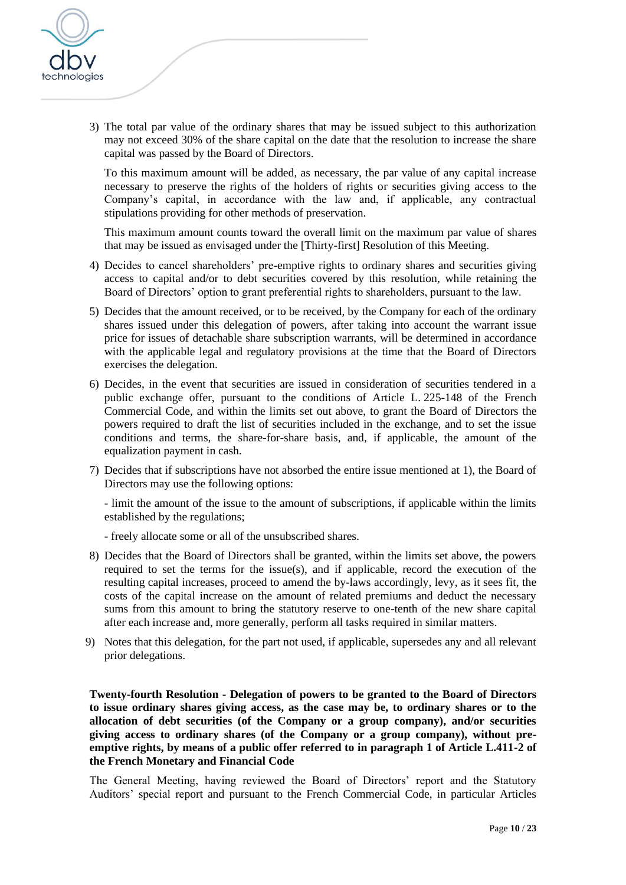

3) The total par value of the ordinary shares that may be issued subject to this authorization may not exceed 30% of the share capital on the date that the resolution to increase the share capital was passed by the Board of Directors.

To this maximum amount will be added, as necessary, the par value of any capital increase necessary to preserve the rights of the holders of rights or securities giving access to the Company's capital, in accordance with the law and, if applicable, any contractual stipulations providing for other methods of preservation.

This maximum amount counts toward the overall limit on the maximum par value of shares that may be issued as envisaged under the [Thirty-first] Resolution of this Meeting.

- 4) Decides to cancel shareholders' pre-emptive rights to ordinary shares and securities giving access to capital and/or to debt securities covered by this resolution, while retaining the Board of Directors' option to grant preferential rights to shareholders, pursuant to the law.
- 5) Decides that the amount received, or to be received, by the Company for each of the ordinary shares issued under this delegation of powers, after taking into account the warrant issue price for issues of detachable share subscription warrants, will be determined in accordance with the applicable legal and regulatory provisions at the time that the Board of Directors exercises the delegation.
- 6) Decides, in the event that securities are issued in consideration of securities tendered in a public exchange offer, pursuant to the conditions of Article L. 225-148 of the French Commercial Code, and within the limits set out above, to grant the Board of Directors the powers required to draft the list of securities included in the exchange, and to set the issue conditions and terms, the share-for-share basis, and, if applicable, the amount of the equalization payment in cash.
- 7) Decides that if subscriptions have not absorbed the entire issue mentioned at 1), the Board of Directors may use the following options:

- limit the amount of the issue to the amount of subscriptions, if applicable within the limits established by the regulations;

- freely allocate some or all of the unsubscribed shares.
- 8) Decides that the Board of Directors shall be granted, within the limits set above, the powers required to set the terms for the issue(s), and if applicable, record the execution of the resulting capital increases, proceed to amend the by-laws accordingly, levy, as it sees fit, the costs of the capital increase on the amount of related premiums and deduct the necessary sums from this amount to bring the statutory reserve to one-tenth of the new share capital after each increase and, more generally, perform all tasks required in similar matters.
- 9) Notes that this delegation, for the part not used, if applicable, supersedes any and all relevant prior delegations.

**Twenty-fourth Resolution - Delegation of powers to be granted to the Board of Directors to issue ordinary shares giving access, as the case may be, to ordinary shares or to the allocation of debt securities (of the Company or a group company), and/or securities giving access to ordinary shares (of the Company or a group company), without preemptive rights, by means of a public offer referred to in paragraph 1 of Article L.411-2 of the French Monetary and Financial Code**

The General Meeting, having reviewed the Board of Directors' report and the Statutory Auditors' special report and pursuant to the French Commercial Code, in particular Articles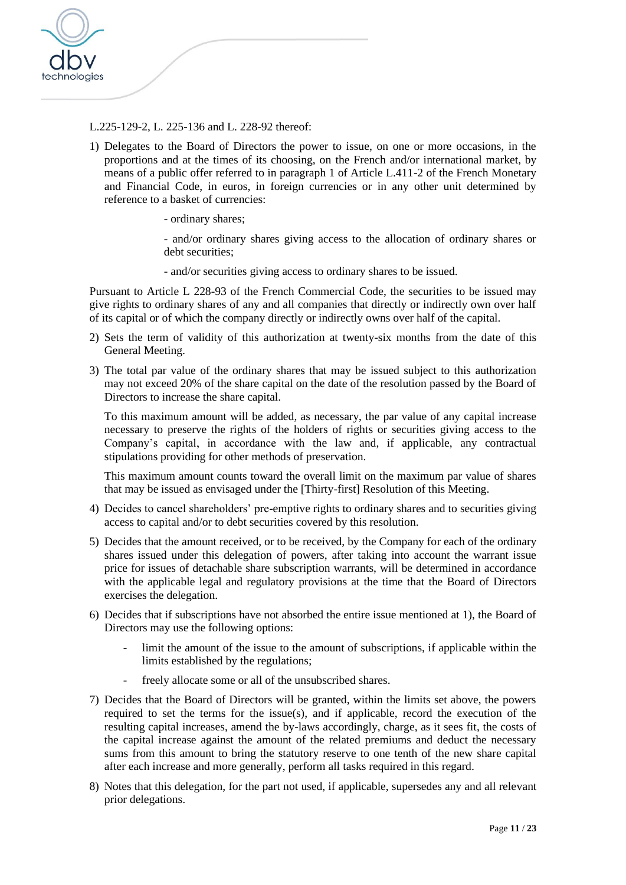

L.225-129-2, L. 225-136 and L. 228-92 thereof:

- 1) Delegates to the Board of Directors the power to issue, on one or more occasions, in the proportions and at the times of its choosing, on the French and/or international market, by means of a public offer referred to in paragraph 1 of Article L.411-2 of the French Monetary and Financial Code, in euros, in foreign currencies or in any other unit determined by reference to a basket of currencies:
	- ordinary shares;

- and/or ordinary shares giving access to the allocation of ordinary shares or debt securities;

- and/or securities giving access to ordinary shares to be issued.

Pursuant to Article L 228-93 of the French Commercial Code, the securities to be issued may give rights to ordinary shares of any and all companies that directly or indirectly own over half of its capital or of which the company directly or indirectly owns over half of the capital.

- 2) Sets the term of validity of this authorization at twenty-six months from the date of this General Meeting.
- 3) The total par value of the ordinary shares that may be issued subject to this authorization may not exceed 20% of the share capital on the date of the resolution passed by the Board of Directors to increase the share capital.

To this maximum amount will be added, as necessary, the par value of any capital increase necessary to preserve the rights of the holders of rights or securities giving access to the Company's capital, in accordance with the law and, if applicable, any contractual stipulations providing for other methods of preservation.

This maximum amount counts toward the overall limit on the maximum par value of shares that may be issued as envisaged under the [Thirty-first] Resolution of this Meeting.

- 4) Decides to cancel shareholders' pre-emptive rights to ordinary shares and to securities giving access to capital and/or to debt securities covered by this resolution.
- 5) Decides that the amount received, or to be received, by the Company for each of the ordinary shares issued under this delegation of powers, after taking into account the warrant issue price for issues of detachable share subscription warrants, will be determined in accordance with the applicable legal and regulatory provisions at the time that the Board of Directors exercises the delegation.
- 6) Decides that if subscriptions have not absorbed the entire issue mentioned at 1), the Board of Directors may use the following options:
	- limit the amount of the issue to the amount of subscriptions, if applicable within the limits established by the regulations;
	- freely allocate some or all of the unsubscribed shares.
- 7) Decides that the Board of Directors will be granted, within the limits set above, the powers required to set the terms for the issue(s), and if applicable, record the execution of the resulting capital increases, amend the by-laws accordingly, charge, as it sees fit, the costs of the capital increase against the amount of the related premiums and deduct the necessary sums from this amount to bring the statutory reserve to one tenth of the new share capital after each increase and more generally, perform all tasks required in this regard.
- 8) Notes that this delegation, for the part not used, if applicable, supersedes any and all relevant prior delegations.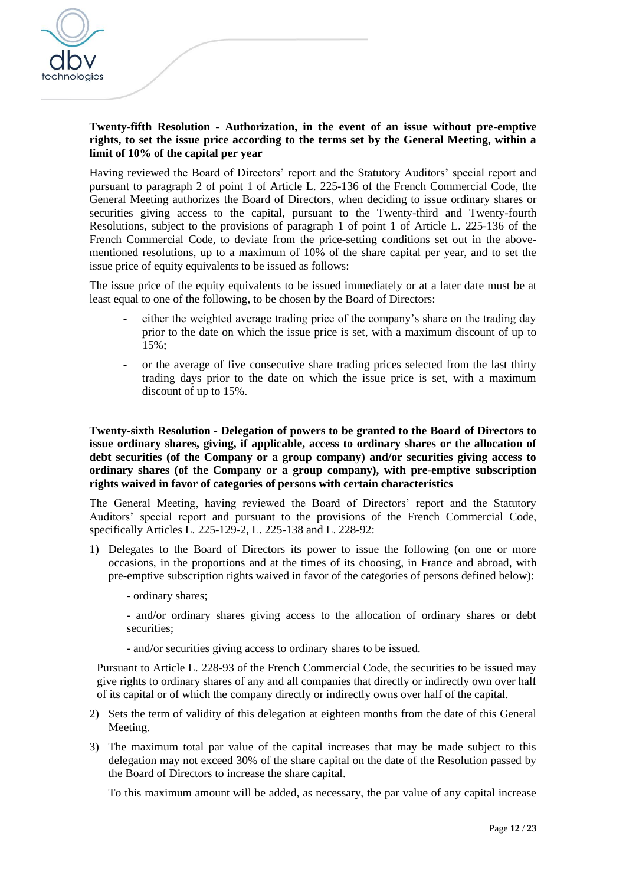

### **Twenty-fifth Resolution - Authorization, in the event of an issue without pre-emptive rights, to set the issue price according to the terms set by the General Meeting, within a limit of 10% of the capital per year**

Having reviewed the Board of Directors' report and the Statutory Auditors' special report and pursuant to paragraph 2 of point 1 of Article L. 225-136 of the French Commercial Code, the General Meeting authorizes the Board of Directors, when deciding to issue ordinary shares or securities giving access to the capital, pursuant to the Twenty-third and Twenty-fourth Resolutions*,* subject to the provisions of paragraph 1 of point 1 of Article L. 225-136 of the French Commercial Code, to deviate from the price-setting conditions set out in the abovementioned resolutions, up to a maximum of 10% of the share capital per year, and to set the issue price of equity equivalents to be issued as follows:

The issue price of the equity equivalents to be issued immediately or at a later date must be at least equal to one of the following, to be chosen by the Board of Directors:

- either the weighted average trading price of the company's share on the trading day prior to the date on which the issue price is set, with a maximum discount of up to 15%;
- or the average of five consecutive share trading prices selected from the last thirty trading days prior to the date on which the issue price is set, with a maximum discount of up to 15%.

**Twenty-sixth Resolution - Delegation of powers to be granted to the Board of Directors to issue ordinary shares, giving, if applicable, access to ordinary shares or the allocation of debt securities (of the Company or a group company) and/or securities giving access to ordinary shares (of the Company or a group company), with pre-emptive subscription rights waived in favor of categories of persons with certain characteristics**

The General Meeting, having reviewed the Board of Directors' report and the Statutory Auditors' special report and pursuant to the provisions of the French Commercial Code, specifically Articles L. 225-129-2, L. 225-138 and L. 228-92:

- 1) Delegates to the Board of Directors its power to issue the following (on one or more occasions, in the proportions and at the times of its choosing, in France and abroad, with pre-emptive subscription rights waived in favor of the categories of persons defined below):
	- ordinary shares;
	- and/or ordinary shares giving access to the allocation of ordinary shares or debt securities;
	- and/or securities giving access to ordinary shares to be issued.

Pursuant to Article L. 228-93 of the French Commercial Code, the securities to be issued may give rights to ordinary shares of any and all companies that directly or indirectly own over half of its capital or of which the company directly or indirectly owns over half of the capital.

- 2) Sets the term of validity of this delegation at eighteen months from the date of this General Meeting.
- 3) The maximum total par value of the capital increases that may be made subject to this delegation may not exceed 30% of the share capital on the date of the Resolution passed by the Board of Directors to increase the share capital.

To this maximum amount will be added, as necessary, the par value of any capital increase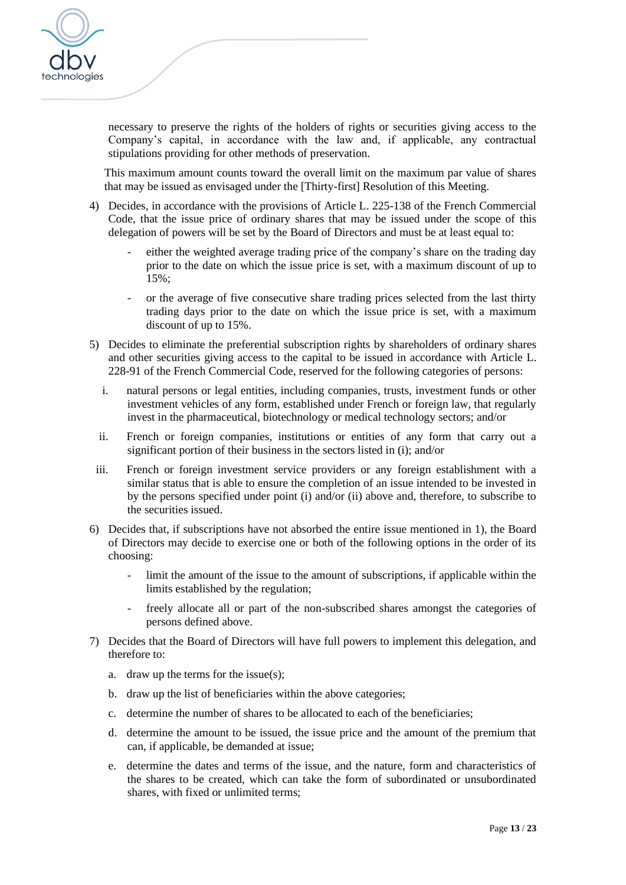

necessary to preserve the rights of the holders of rights or securities giving access to the Company's capital, in accordance with the law and, if applicable, any contractual stipulations providing for other methods of preservation.

This maximum amount counts toward the overall limit on the maximum par value of shares that may be issued as envisaged under the [Thirty-first] Resolution of this Meeting.

- 4) Decides, in accordance with the provisions of Article L. 225-138 of the French Commercial Code, that the issue price of ordinary shares that may be issued under the scope of this delegation of powers will be set by the Board of Directors and must be at least equal to:
	- either the weighted average trading price of the company's share on the trading day prior to the date on which the issue price is set, with a maximum discount of up to 15%;
	- or the average of five consecutive share trading prices selected from the last thirty trading days prior to the date on which the issue price is set, with a maximum discount of up to 15%.
- 5) Decides to eliminate the preferential subscription rights by shareholders of ordinary shares and other securities giving access to the capital to be issued in accordance with Article L. 228-91 of the French Commercial Code, reserved for the following categories of persons:
	- i. natural persons or legal entities, including companies, trusts, investment funds or other investment vehicles of any form, established under French or foreign law, that regularly invest in the pharmaceutical, biotechnology or medical technology sectors; and/or
	- ii. French or foreign companies, institutions or entities of any form that carry out a significant portion of their business in the sectors listed in (i); and/or
- iii. French or foreign investment service providers or any foreign establishment with a similar status that is able to ensure the completion of an issue intended to be invested in by the persons specified under point (i) and/or (ii) above and, therefore, to subscribe to the securities issued.
- 6) Decides that, if subscriptions have not absorbed the entire issue mentioned in 1), the Board of Directors may decide to exercise one or both of the following options in the order of its choosing:
	- limit the amount of the issue to the amount of subscriptions, if applicable within the limits established by the regulation;
	- freely allocate all or part of the non-subscribed shares amongst the categories of persons defined above.
- 7) Decides that the Board of Directors will have full powers to implement this delegation, and therefore to:
	- a. draw up the terms for the issue(s);
	- b. draw up the list of beneficiaries within the above categories;
	- c. determine the number of shares to be allocated to each of the beneficiaries;
	- d. determine the amount to be issued, the issue price and the amount of the premium that can, if applicable, be demanded at issue;
	- e. determine the dates and terms of the issue, and the nature, form and characteristics of the shares to be created, which can take the form of subordinated or unsubordinated shares, with fixed or unlimited terms;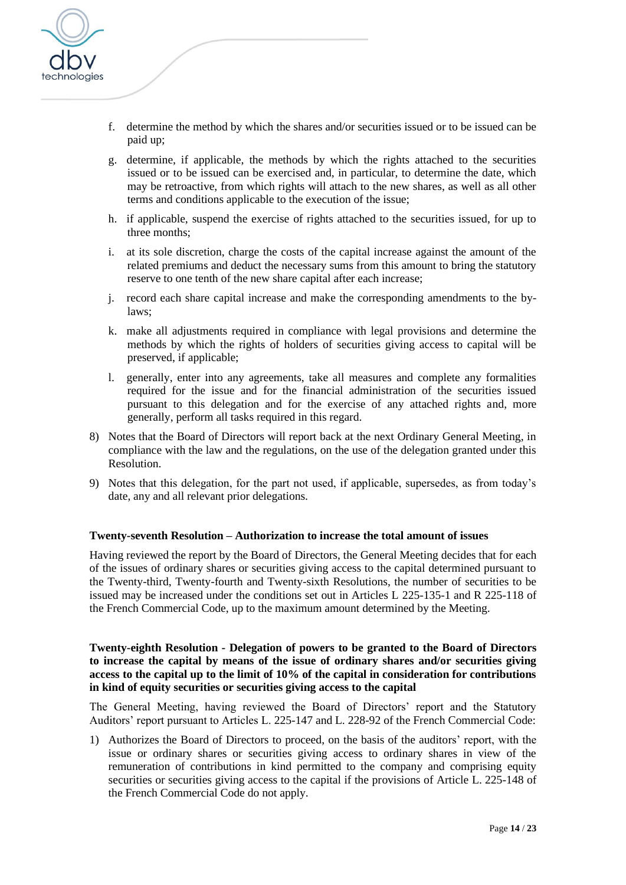

- f. determine the method by which the shares and/or securities issued or to be issued can be paid up;
- g. determine, if applicable, the methods by which the rights attached to the securities issued or to be issued can be exercised and, in particular, to determine the date, which may be retroactive, from which rights will attach to the new shares, as well as all other terms and conditions applicable to the execution of the issue;
- h. if applicable, suspend the exercise of rights attached to the securities issued, for up to three months;
- i. at its sole discretion, charge the costs of the capital increase against the amount of the related premiums and deduct the necessary sums from this amount to bring the statutory reserve to one tenth of the new share capital after each increase;
- j. record each share capital increase and make the corresponding amendments to the bylaws;
- k. make all adjustments required in compliance with legal provisions and determine the methods by which the rights of holders of securities giving access to capital will be preserved, if applicable;
- l. generally, enter into any agreements, take all measures and complete any formalities required for the issue and for the financial administration of the securities issued pursuant to this delegation and for the exercise of any attached rights and, more generally, perform all tasks required in this regard.
- 8) Notes that the Board of Directors will report back at the next Ordinary General Meeting, in compliance with the law and the regulations, on the use of the delegation granted under this Resolution.
- 9) Notes that this delegation, for the part not used, if applicable, supersedes, as from today's date, any and all relevant prior delegations.

### **Twenty-seventh Resolution – Authorization to increase the total amount of issues**

Having reviewed the report by the Board of Directors, the General Meeting decides that for each of the issues of ordinary shares or securities giving access to the capital determined pursuant to the Twenty-third, Twenty-fourth and Twenty-sixth Resolutions, the number of securities to be issued may be increased under the conditions set out in Articles L 225-135-1 and R 225-118 of the French Commercial Code, up to the maximum amount determined by the Meeting.

**Twenty-eighth Resolution - Delegation of powers to be granted to the Board of Directors to increase the capital by means of the issue of ordinary shares and/or securities giving access to the capital up to the limit of 10% of the capital in consideration for contributions in kind of equity securities or securities giving access to the capital**

The General Meeting, having reviewed the Board of Directors' report and the Statutory Auditors' report pursuant to Articles L. 225-147 and L. 228-92 of the French Commercial Code:

1) Authorizes the Board of Directors to proceed, on the basis of the auditors' report, with the issue or ordinary shares or securities giving access to ordinary shares in view of the remuneration of contributions in kind permitted to the company and comprising equity securities or securities giving access to the capital if the provisions of Article L. 225-148 of the French Commercial Code do not apply.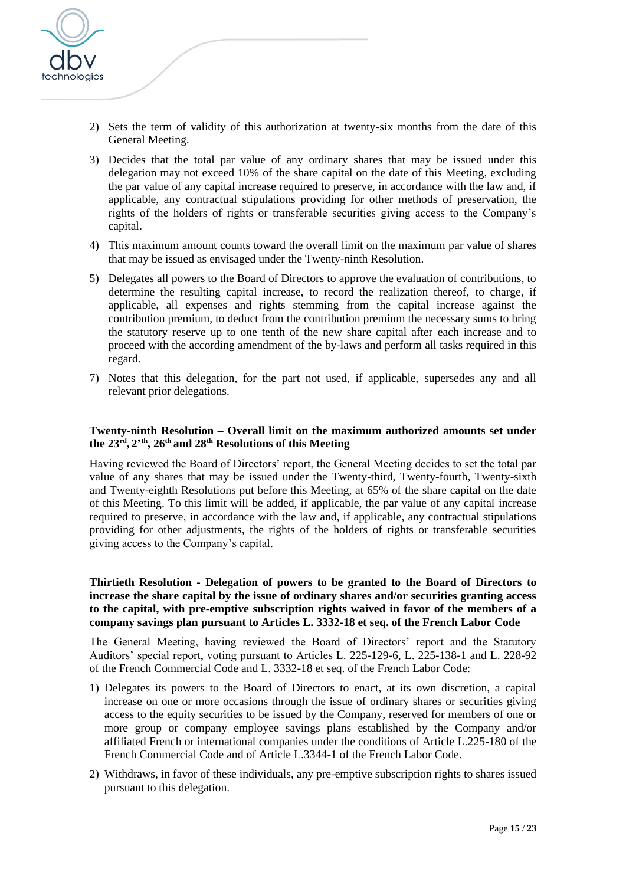

- 2) Sets the term of validity of this authorization at twenty-six months from the date of this General Meeting.
- 3) Decides that the total par value of any ordinary shares that may be issued under this delegation may not exceed 10% of the share capital on the date of this Meeting, excluding the par value of any capital increase required to preserve, in accordance with the law and, if applicable, any contractual stipulations providing for other methods of preservation, the rights of the holders of rights or transferable securities giving access to the Company's capital.
- 4) This maximum amount counts toward the overall limit on the maximum par value of shares that may be issued as envisaged under the Twenty-ninth Resolution.
- 5) Delegates all powers to the Board of Directors to approve the evaluation of contributions, to determine the resulting capital increase, to record the realization thereof, to charge, if applicable, all expenses and rights stemming from the capital increase against the contribution premium, to deduct from the contribution premium the necessary sums to bring the statutory reserve up to one tenth of the new share capital after each increase and to proceed with the according amendment of the by-laws and perform all tasks required in this regard.
- 7) Notes that this delegation, for the part not used, if applicable, supersedes any and all relevant prior delegations.

## **Twenty-ninth Resolution – Overall limit on the maximum authorized amounts set under the 23 rd , 2' th, 26 th and 28th Resolutions of this Meeting**

Having reviewed the Board of Directors' report, the General Meeting decides to set the total par value of any shares that may be issued under the Twenty-third, Twenty-fourth, Twenty-sixth and Twenty-eighth Resolutions put before this Meeting, at 65% of the share capital on the date of this Meeting. To this limit will be added, if applicable, the par value of any capital increase required to preserve, in accordance with the law and, if applicable, any contractual stipulations providing for other adjustments, the rights of the holders of rights or transferable securities giving access to the Company's capital.

## **Thirtieth Resolution - Delegation of powers to be granted to the Board of Directors to increase the share capital by the issue of ordinary shares and/or securities granting access to the capital, with pre-emptive subscription rights waived in favor of the members of a company savings plan pursuant to Articles L. 3332-18 et seq. of the French Labor Code**

The General Meeting, having reviewed the Board of Directors' report and the Statutory Auditors' special report, voting pursuant to Articles L. 225-129-6, L. 225-138-1 and L. 228-92 of the French Commercial Code and L. 3332-18 et seq. of the French Labor Code:

- 1) Delegates its powers to the Board of Directors to enact, at its own discretion, a capital increase on one or more occasions through the issue of ordinary shares or securities giving access to the equity securities to be issued by the Company, reserved for members of one or more group or company employee savings plans established by the Company and/or affiliated French or international companies under the conditions of Article L.225-180 of the French Commercial Code and of Article L.3344-1 of the French Labor Code.
- 2) Withdraws, in favor of these individuals, any pre-emptive subscription rights to shares issued pursuant to this delegation.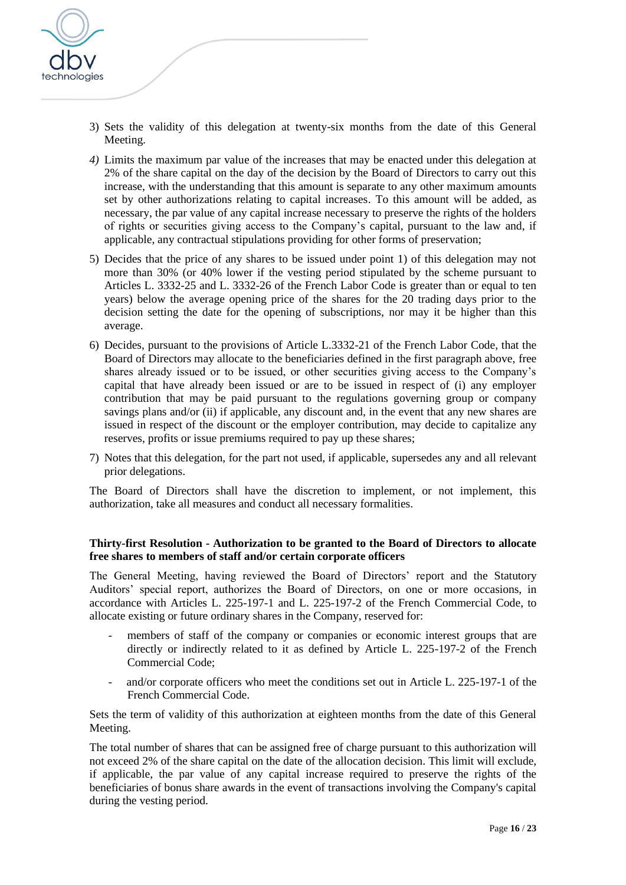

- 3) Sets the validity of this delegation at twenty-six months from the date of this General Meeting.
- *4)* Limits the maximum par value of the increases that may be enacted under this delegation at 2% of the share capital on the day of the decision by the Board of Directors to carry out this increase, with the understanding that this amount is separate to any other maximum amounts set by other authorizations relating to capital increases. To this amount will be added, as necessary, the par value of any capital increase necessary to preserve the rights of the holders of rights or securities giving access to the Company's capital, pursuant to the law and, if applicable, any contractual stipulations providing for other forms of preservation;
- 5) Decides that the price of any shares to be issued under point 1) of this delegation may not more than 30% (or 40% lower if the vesting period stipulated by the scheme pursuant to Articles L. 3332-25 and L. 3332-26 of the French Labor Code is greater than or equal to ten years) below the average opening price of the shares for the 20 trading days prior to the decision setting the date for the opening of subscriptions, nor may it be higher than this average.
- 6) Decides, pursuant to the provisions of Article L.3332-21 of the French Labor Code, that the Board of Directors may allocate to the beneficiaries defined in the first paragraph above, free shares already issued or to be issued, or other securities giving access to the Company's capital that have already been issued or are to be issued in respect of (i) any employer contribution that may be paid pursuant to the regulations governing group or company savings plans and/or (ii) if applicable, any discount and, in the event that any new shares are issued in respect of the discount or the employer contribution, may decide to capitalize any reserves, profits or issue premiums required to pay up these shares;
- 7) Notes that this delegation, for the part not used, if applicable, supersedes any and all relevant prior delegations.

The Board of Directors shall have the discretion to implement, or not implement, this authorization, take all measures and conduct all necessary formalities.

### **Thirty-first Resolution - Authorization to be granted to the Board of Directors to allocate free shares to members of staff and/or certain corporate officers**

The General Meeting, having reviewed the Board of Directors' report and the Statutory Auditors' special report, authorizes the Board of Directors, on one or more occasions, in accordance with Articles L. 225-197-1 and L. 225-197-2 of the French Commercial Code, to allocate existing or future ordinary shares in the Company, reserved for:

- members of staff of the company or companies or economic interest groups that are directly or indirectly related to it as defined by Article L. 225-197-2 of the French Commercial Code;
- and/or corporate officers who meet the conditions set out in Article L. 225-197-1 of the French Commercial Code.

Sets the term of validity of this authorization at eighteen months from the date of this General Meeting.

The total number of shares that can be assigned free of charge pursuant to this authorization will not exceed 2% of the share capital on the date of the allocation decision. This limit will exclude, if applicable, the par value of any capital increase required to preserve the rights of the beneficiaries of bonus share awards in the event of transactions involving the Company's capital during the vesting period.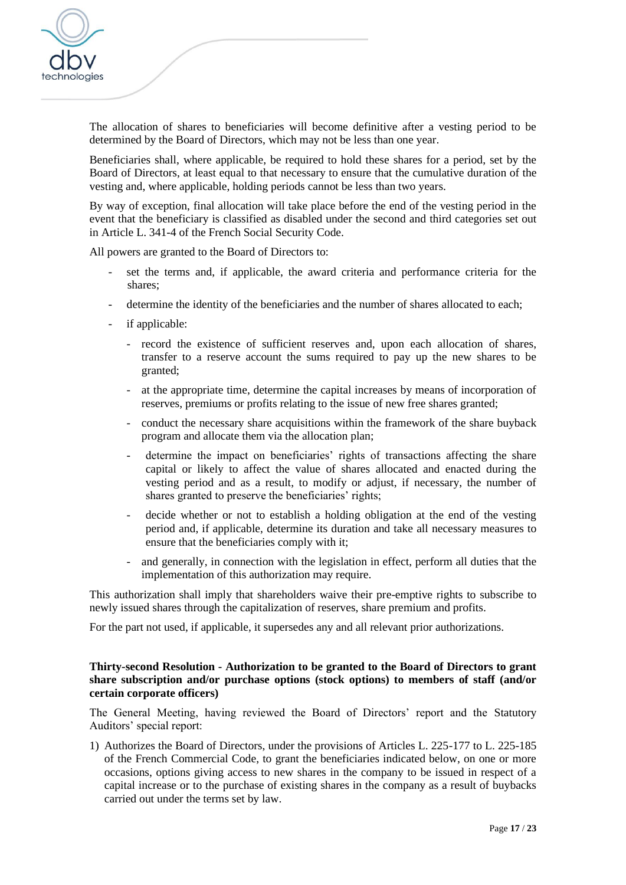

The allocation of shares to beneficiaries will become definitive after a vesting period to be determined by the Board of Directors, which may not be less than one year.

Beneficiaries shall, where applicable, be required to hold these shares for a period, set by the Board of Directors, at least equal to that necessary to ensure that the cumulative duration of the vesting and, where applicable, holding periods cannot be less than two years.

By way of exception, final allocation will take place before the end of the vesting period in the event that the beneficiary is classified as disabled under the second and third categories set out in Article L. 341-4 of the French Social Security Code.

All powers are granted to the Board of Directors to:

- set the terms and, if applicable, the award criteria and performance criteria for the shares;
- determine the identity of the beneficiaries and the number of shares allocated to each;
- if applicable:
	- record the existence of sufficient reserves and, upon each allocation of shares, transfer to a reserve account the sums required to pay up the new shares to be granted;
	- at the appropriate time, determine the capital increases by means of incorporation of reserves, premiums or profits relating to the issue of new free shares granted;
	- conduct the necessary share acquisitions within the framework of the share buyback program and allocate them via the allocation plan;
	- determine the impact on beneficiaries' rights of transactions affecting the share capital or likely to affect the value of shares allocated and enacted during the vesting period and as a result, to modify or adjust, if necessary, the number of shares granted to preserve the beneficiaries' rights;
	- decide whether or not to establish a holding obligation at the end of the vesting period and, if applicable, determine its duration and take all necessary measures to ensure that the beneficiaries comply with it;
	- and generally, in connection with the legislation in effect, perform all duties that the implementation of this authorization may require.

This authorization shall imply that shareholders waive their pre-emptive rights to subscribe to newly issued shares through the capitalization of reserves, share premium and profits.

For the part not used, if applicable, it supersedes any and all relevant prior authorizations.

### **Thirty-second Resolution - Authorization to be granted to the Board of Directors to grant share subscription and/or purchase options (stock options) to members of staff (and/or certain corporate officers)**

The General Meeting, having reviewed the Board of Directors' report and the Statutory Auditors' special report:

1) Authorizes the Board of Directors, under the provisions of Articles L. 225-177 to L. 225-185 of the French Commercial Code, to grant the beneficiaries indicated below, on one or more occasions, options giving access to new shares in the company to be issued in respect of a capital increase or to the purchase of existing shares in the company as a result of buybacks carried out under the terms set by law.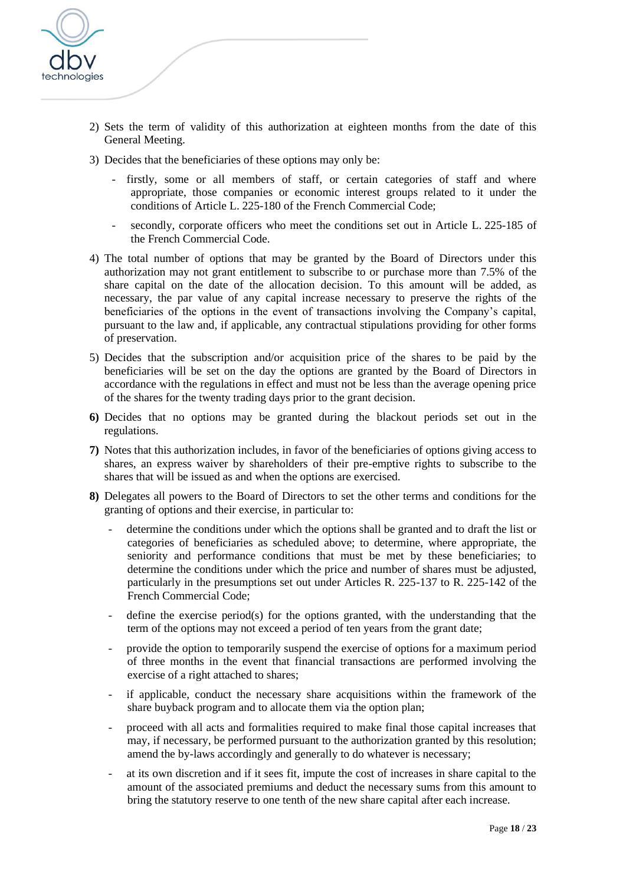

- 2) Sets the term of validity of this authorization at eighteen months from the date of this General Meeting.
- 3) Decides that the beneficiaries of these options may only be:
	- firstly, some or all members of staff, or certain categories of staff and where appropriate, those companies or economic interest groups related to it under the conditions of Article L. 225-180 of the French Commercial Code;
	- secondly, corporate officers who meet the conditions set out in Article L, 225-185 of the French Commercial Code.
- 4) The total number of options that may be granted by the Board of Directors under this authorization may not grant entitlement to subscribe to or purchase more than 7.5% of the share capital on the date of the allocation decision. To this amount will be added, as necessary, the par value of any capital increase necessary to preserve the rights of the beneficiaries of the options in the event of transactions involving the Company's capital, pursuant to the law and, if applicable, any contractual stipulations providing for other forms of preservation.
- 5) Decides that the subscription and/or acquisition price of the shares to be paid by the beneficiaries will be set on the day the options are granted by the Board of Directors in accordance with the regulations in effect and must not be less than the average opening price of the shares for the twenty trading days prior to the grant decision.
- **6)** Decides that no options may be granted during the blackout periods set out in the regulations.
- **7)** Notes that this authorization includes, in favor of the beneficiaries of options giving access to shares, an express waiver by shareholders of their pre-emptive rights to subscribe to the shares that will be issued as and when the options are exercised.
- **8)** Delegates all powers to the Board of Directors to set the other terms and conditions for the granting of options and their exercise, in particular to:
	- determine the conditions under which the options shall be granted and to draft the list or categories of beneficiaries as scheduled above; to determine, where appropriate, the seniority and performance conditions that must be met by these beneficiaries; to determine the conditions under which the price and number of shares must be adjusted, particularly in the presumptions set out under Articles R. 225-137 to R. 225-142 of the French Commercial Code;
	- define the exercise period(s) for the options granted, with the understanding that the term of the options may not exceed a period of ten years from the grant date;
	- provide the option to temporarily suspend the exercise of options for a maximum period of three months in the event that financial transactions are performed involving the exercise of a right attached to shares;
	- if applicable, conduct the necessary share acquisitions within the framework of the share buyback program and to allocate them via the option plan;
	- proceed with all acts and formalities required to make final those capital increases that may, if necessary, be performed pursuant to the authorization granted by this resolution; amend the by-laws accordingly and generally to do whatever is necessary;
	- at its own discretion and if it sees fit, impute the cost of increases in share capital to the amount of the associated premiums and deduct the necessary sums from this amount to bring the statutory reserve to one tenth of the new share capital after each increase.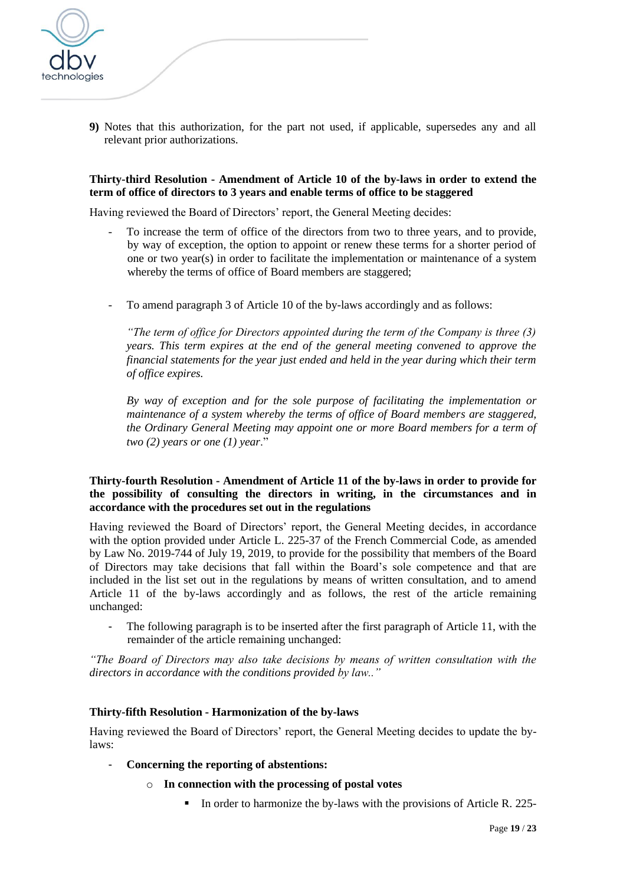

**9)** Notes that this authorization, for the part not used, if applicable, supersedes any and all relevant prior authorizations.

#### **Thirty-third Resolution - Amendment of Article 10 of the by-laws in order to extend the term of office of directors to 3 years and enable terms of office to be staggered**

Having reviewed the Board of Directors' report, the General Meeting decides:

- To increase the term of office of the directors from two to three years, and to provide, by way of exception, the option to appoint or renew these terms for a shorter period of one or two year(s) in order to facilitate the implementation or maintenance of a system whereby the terms of office of Board members are staggered;
- To amend paragraph 3 of Article 10 of the by-laws accordingly and as follows:

*"The term of office for Directors appointed during the term of the Company is three (3) years. This term expires at the end of the general meeting convened to approve the financial statements for the year just ended and held in the year during which their term of office expires.* 

*By way of exception and for the sole purpose of facilitating the implementation or maintenance of a system whereby the terms of office of Board members are staggered, the Ordinary General Meeting may appoint one or more Board members for a term of two (2) years or one (1) year*."

### **Thirty-fourth Resolution - Amendment of Article 11 of the by-laws in order to provide for the possibility of consulting the directors in writing, in the circumstances and in accordance with the procedures set out in the regulations**

Having reviewed the Board of Directors' report, the General Meeting decides, in accordance with the option provided under Article L. 225-37 of the French Commercial Code, as amended by Law No. 2019-744 of July 19, 2019, to provide for the possibility that members of the Board of Directors may take decisions that fall within the Board's sole competence and that are included in the list set out in the regulations by means of written consultation, and to amend Article 11 of the by-laws accordingly and as follows, the rest of the article remaining unchanged:

The following paragraph is to be inserted after the first paragraph of Article 11, with the remainder of the article remaining unchanged:

*"The Board of Directors may also take decisions by means of written consultation with the directors in accordance with the conditions provided by law.."*

#### **Thirty-fifth Resolution - Harmonization of the by-laws**

Having reviewed the Board of Directors' report, the General Meeting decides to update the bylaws:

- **Concerning the reporting of abstentions:**
	- o **In connection with the processing of postal votes**
		- In order to harmonize the by-laws with the provisions of Article R. 225-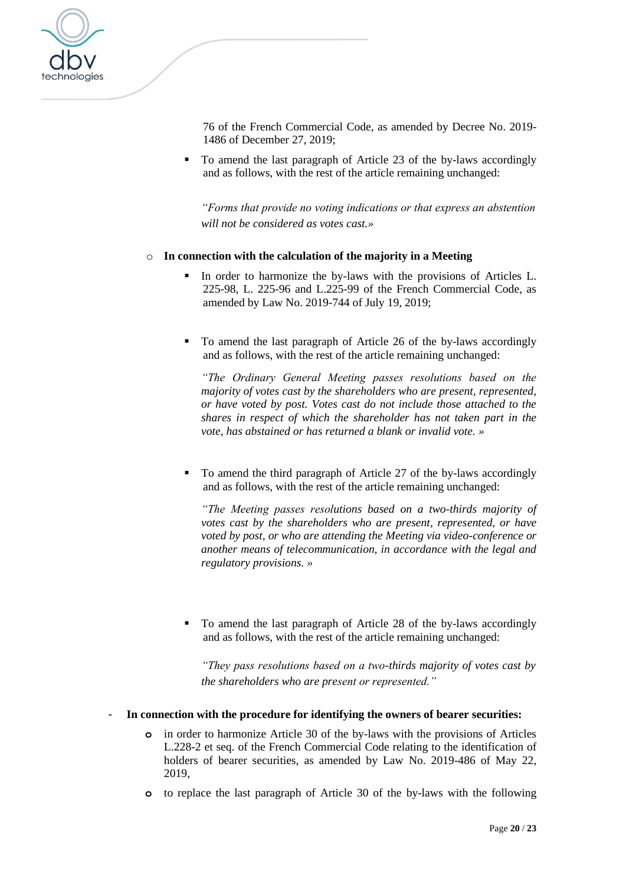

76 of the French Commercial Code, as amended by [Decree No. 2019-](https://www.legifrance.gouv.fr/affichTexteArticle.do;jsessionid=E32CAF1152ABD0388DCB6202E712ECB7.tplgfr36s_2?cidTexte=JORFTEXT000039684764&idArticle=LEGIARTI000039788039&dateTexte=20200131&categorieLien=id#LEGIARTI000039788039) [1486 of December 27, 2019;](https://www.legifrance.gouv.fr/affichTexteArticle.do;jsessionid=E32CAF1152ABD0388DCB6202E712ECB7.tplgfr36s_2?cidTexte=JORFTEXT000039684764&idArticle=LEGIARTI000039788039&dateTexte=20200131&categorieLien=id#LEGIARTI000039788039)

To amend the last paragraph of Article 23 of the by-laws accordingly and as follows, with the rest of the article remaining unchanged:

*"Forms that provide no voting indications or that express an abstention will not be considered as votes cast.»* 

### o **In connection with the calculation of the majority in a Meeting**

- In order to harmonize the by-laws with the provisions of Articles L. 225-98, L. 225-96 and L.225-99 of the French Commercial Code, as amended by Law [No. 2019-744 of](https://www.legifrance.gouv.fr/affichTexteArticle.do;jsessionid=E32CAF1152ABD0388DCB6202E712ECB7.tplgfr36s_2?cidTexte=JORFTEXT000038792157&idArticle=LEGIARTI000038793734&dateTexte=20190721&categorieLien=id#LEGIARTI000038793734) July 19, 2019;
- To amend the last paragraph of Article 26 of the by-laws accordingly and as follows, with the rest of the article remaining unchanged:

*"The Ordinary General Meeting passes resolutions based on the majority of votes cast by the shareholders who are present, represented, or have voted by post. Votes cast do not include those attached to the shares in respect of which the shareholder has not taken part in the vote, has abstained or has returned a blank or invalid vote. »*

■ To amend the third paragraph of Article 27 of the by-laws accordingly and as follows, with the rest of the article remaining unchanged:

*"The Meeting passes resolutions based on a two-thirds majority of votes cast by the shareholders who are present, represented, or have voted by post, or who are attending the Meeting via video-conference or another means of telecommunication, in accordance with the legal and regulatory provisions. »*

To amend the last paragraph of Article 28 of the by-laws accordingly and as follows, with the rest of the article remaining unchanged:

*"They pass resolutions based on a two-thirds majority of votes cast by the shareholders who are present or represented."*

#### - **In connection with the procedure for identifying the owners of bearer securities:**

- **o** in order to harmonize Article 30 of the by-laws with the provisions of Articles L.228-2 et seq. of the French Commercial Code relating to the identification of holders of bearer securities, as amended by Law [No. 2019-486 of May 22,](https://www.legifrance.gouv.fr/affichTexteArticle.do;jsessionid=53973EF18C93AE472B50F58F5F3B433A.tplgfr25s_2?cidTexte=JORFTEXT000038496102&idArticle=LEGIARTI000038497541&dateTexte=20190610&categorieLien=id#LEGIARTI000038497541)  [2019,](https://www.legifrance.gouv.fr/affichTexteArticle.do;jsessionid=53973EF18C93AE472B50F58F5F3B433A.tplgfr25s_2?cidTexte=JORFTEXT000038496102&idArticle=LEGIARTI000038497541&dateTexte=20190610&categorieLien=id#LEGIARTI000038497541)
- **o** to replace the last paragraph of Article 30 of the by-laws with the following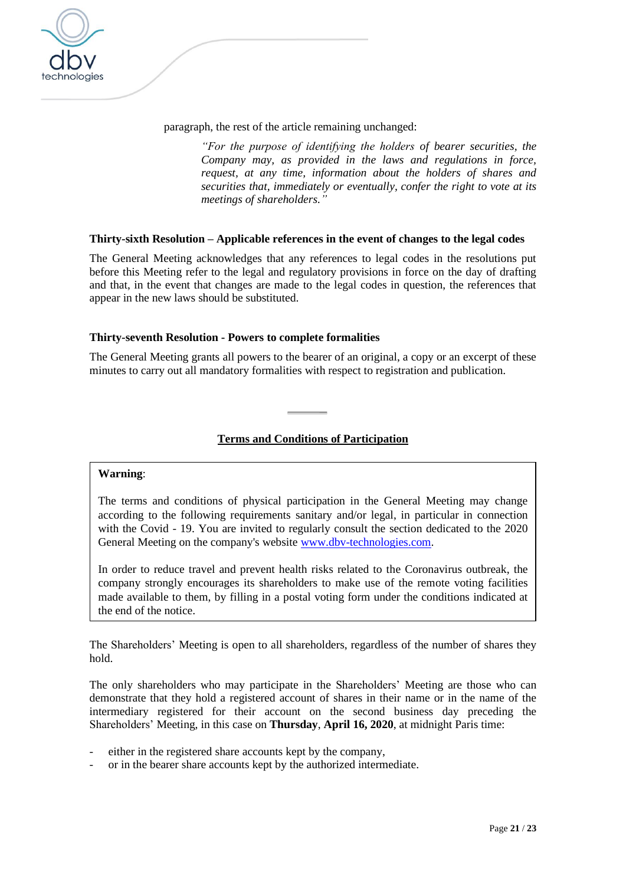

paragraph, the rest of the article remaining unchanged:

*"For the purpose of identifying the holders of bearer securities, the Company may, as provided in the laws and regulations in force, request, at any time, information about the holders of shares and securities that, immediately or eventually, confer the right to vote at its meetings of shareholders."*

### **Thirty-sixth Resolution – Applicable references in the event of changes to the legal codes**

The General Meeting acknowledges that any references to legal codes in the resolutions put before this Meeting refer to the legal and regulatory provisions in force on the day of drafting and that, in the event that changes are made to the legal codes in question, the references that appear in the new laws should be substituted.

## **Thirty-seventh Resolution - Powers to complete formalities**

The General Meeting grants all powers to the bearer of an original, a copy or an excerpt of these minutes to carry out all mandatory formalities with respect to registration and publication.

# **Terms and Conditions of Participation**

### **Warning**:

The terms and conditions of physical participation in the General Meeting may change according to the following requirements sanitary and/or legal, in particular in connection with the Covid - 19. You are invited to regularly consult the section dedicated to the 2020 General Meeting on the company's website [www.dbv-technologies.com.](http://www.dbv-technologies.com/)

In order to reduce travel and prevent health risks related to the Coronavirus outbreak, the company strongly encourages its shareholders to make use of the remote voting facilities made available to them, by filling in a postal voting form under the conditions indicated at the end of the notice.

The Shareholders' Meeting is open to all shareholders, regardless of the number of shares they hold.

The only shareholders who may participate in the Shareholders' Meeting are those who can demonstrate that they hold a registered account of shares in their name or in the name of the intermediary registered for their account on the second business day preceding the Shareholders' Meeting, in this case on **Thursday**, **April 16, 2020**, at midnight Paris time:

- either in the registered share accounts kept by the company,
- or in the bearer share accounts kept by the authorized intermediate.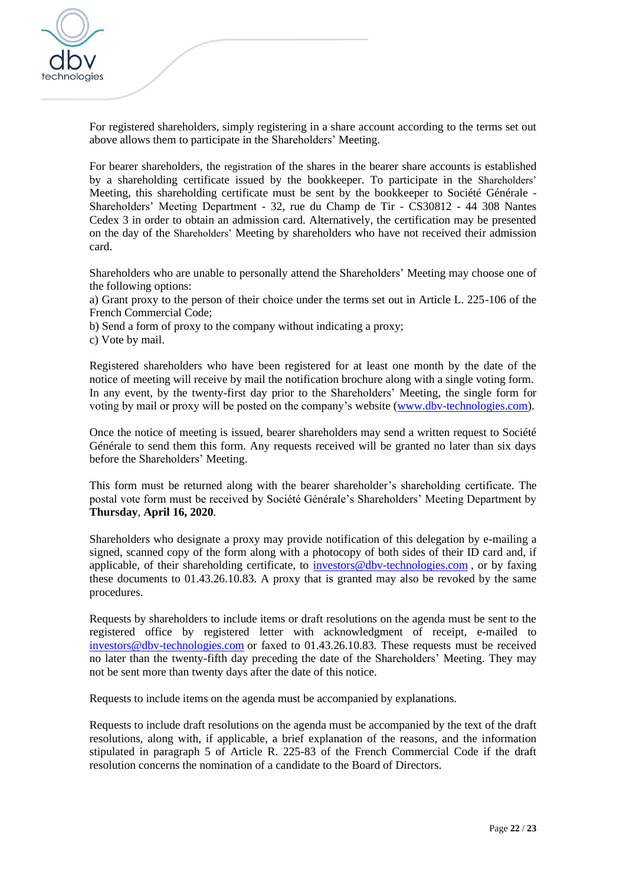

For registered shareholders, simply registering in a share account according to the terms set out above allows them to participate in the Shareholders' Meeting.

For bearer shareholders, the registration of the shares in the bearer share accounts is established by a shareholding certificate issued by the bookkeeper. To participate in the Shareholders' Meeting, this shareholding certificate must be sent by the bookkeeper to Société Générale - Shareholders' Meeting Department - 32, rue du Champ de Tir - CS30812 - 44 308 Nantes Cedex 3 in order to obtain an admission card. Alternatively, the certification may be presented on the day of the Shareholders' Meeting by shareholders who have not received their admission card.

Shareholders who are unable to personally attend the Shareholders' Meeting may choose one of the following options:

a) Grant proxy to the person of their choice under the terms set out in Article L. 225-106 of the French Commercial Code;

b) Send a form of proxy to the company without indicating a proxy;

c) Vote by mail.

Registered shareholders who have been registered for at least one month by the date of the notice of meeting will receive by mail the notification brochure along with a single voting form. In any event, by the twenty-first day prior to the Shareholders' Meeting*,* the single form for voting by mail or proxy will be posted on the company's website [\(www.dbv-technologies.com\)](http://www.dbv-technologies.com/).

Once the notice of meeting is issued, bearer shareholders may send a written request to Société Générale to send them this form. Any requests received will be granted no later than six days before the Shareholders' Meeting.

This form must be returned along with the bearer shareholder's shareholding certificate. The postal vote form must be received by Société Générale's Shareholders' Meeting Department by **Thursday**, **April 16, 2020**.

Shareholders who designate a proxy may provide notification of this delegation by e-mailing a signed, scanned copy of the form along with a photocopy of both sides of their ID card and, if applicable, of their shareholding certificate, to [investors@dbv-technologies.com](http://mailto:investors@dbv-technologies.com/) , or by faxing these documents to 01.43.26.10.83. A proxy that is granted may also be revoked by the same procedures.

Requests by shareholders to include items or draft resolutions on the agenda must be sent to the registered office by registered letter with acknowledgment of receipt, e-mailed to [investors@dbv-technologies.com](http://mailto:investors@dbv-technologies.com/) or faxed to 01.43.26.10.83*.* These requests must be received no later than the twenty-fifth day preceding the date of the Shareholders' Meeting. They may not be sent more than twenty days after the date of this notice.

Requests to include items on the agenda must be accompanied by explanations.

Requests to include draft resolutions on the agenda must be accompanied by the text of the draft resolutions, along with, if applicable, a brief explanation of the reasons, and the information stipulated in paragraph 5 of [Article R. 225-83](http://www.legifrance.gouv.fr/affichCodeArticle.do;jsessionid=558836EFDA7408B166E2D3E9A3FC2B02.tpdjo03v_3?cidTexte=LEGITEXT000005634379&idArticle=LEGIARTI000006261121&dateTexte=&categorieLien=cid) of the French Commercial Code if the draft resolution concerns the nomination of a candidate to the Board of Directors.